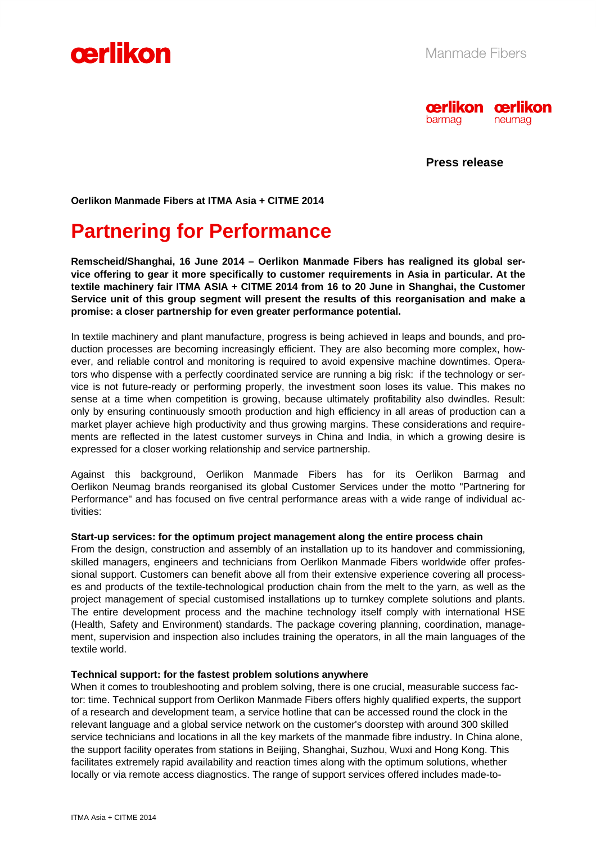



**Press release** 

**Oerlikon Manmade Fibers at ITMA Asia + CITME 2014** 

# **Partnering for Performance**

**Remscheid/Shanghai, 16 June 2014 – Oerlikon Manmade Fibers has realigned its global service offering to gear it more specifically to customer requirements in Asia in particular. At the textile machinery fair ITMA ASIA + CITME 2014 from 16 to 20 June in Shanghai, the Customer Service unit of this group segment will present the results of this reorganisation and make a promise: a closer partnership for even greater performance potential.** 

In textile machinery and plant manufacture, progress is being achieved in leaps and bounds, and production processes are becoming increasingly efficient. They are also becoming more complex, however, and reliable control and monitoring is required to avoid expensive machine downtimes. Operators who dispense with a perfectly coordinated service are running a big risk: if the technology or service is not future-ready or performing properly, the investment soon loses its value. This makes no sense at a time when competition is growing, because ultimately profitability also dwindles. Result: only by ensuring continuously smooth production and high efficiency in all areas of production can a market player achieve high productivity and thus growing margins. These considerations and requirements are reflected in the latest customer surveys in China and India, in which a growing desire is expressed for a closer working relationship and service partnership.

Against this background, Oerlikon Manmade Fibers has for its Oerlikon Barmag and Oerlikon Neumag brands reorganised its global Customer Services under the motto "Partnering for Performance" and has focused on five central performance areas with a wide range of individual activities:

#### **Start-up services: for the optimum project management along the entire process chain**

From the design, construction and assembly of an installation up to its handover and commissioning, skilled managers, engineers and technicians from Oerlikon Manmade Fibers worldwide offer professional support. Customers can benefit above all from their extensive experience covering all processes and products of the textile-technological production chain from the melt to the yarn, as well as the project management of special customised installations up to turnkey complete solutions and plants. The entire development process and the machine technology itself comply with international HSE (Health, Safety and Environment) standards. The package covering planning, coordination, management, supervision and inspection also includes training the operators, in all the main languages of the textile world.

#### **Technical support: for the fastest problem solutions anywhere**

When it comes to troubleshooting and problem solving, there is one crucial, measurable success factor: time. Technical support from Oerlikon Manmade Fibers offers highly qualified experts, the support of a research and development team, a service hotline that can be accessed round the clock in the relevant language and a global service network on the customer's doorstep with around 300 skilled service technicians and locations in all the key markets of the manmade fibre industry. In China alone, the support facility operates from stations in Beijing, Shanghai, Suzhou, Wuxi and Hong Kong. This facilitates extremely rapid availability and reaction times along with the optimum solutions, whether locally or via remote access diagnostics. The range of support services offered includes made-to-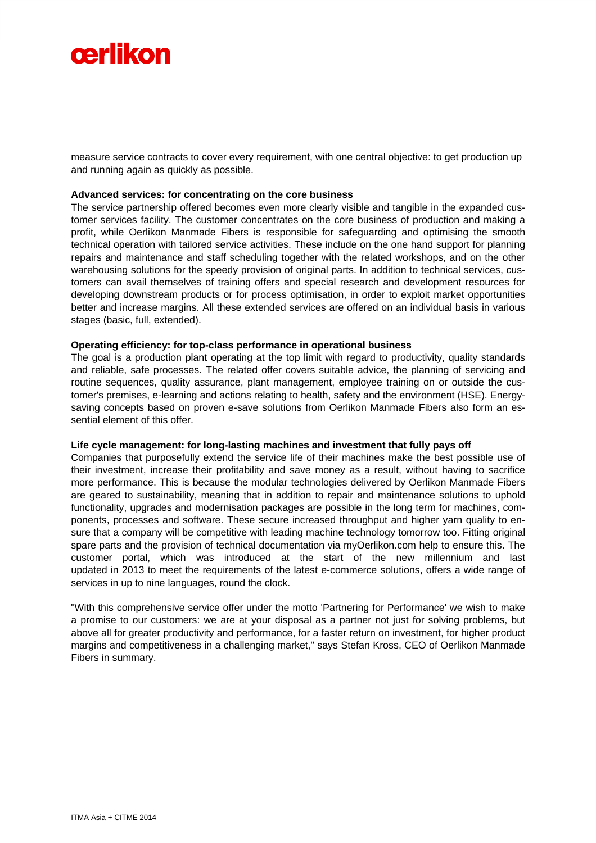

measure service contracts to cover every requirement, with one central objective: to get production up and running again as quickly as possible.

#### **Advanced services: for concentrating on the core business**

The service partnership offered becomes even more clearly visible and tangible in the expanded customer services facility. The customer concentrates on the core business of production and making a profit, while Oerlikon Manmade Fibers is responsible for safeguarding and optimising the smooth technical operation with tailored service activities. These include on the one hand support for planning repairs and maintenance and staff scheduling together with the related workshops, and on the other warehousing solutions for the speedy provision of original parts. In addition to technical services, customers can avail themselves of training offers and special research and development resources for developing downstream products or for process optimisation, in order to exploit market opportunities better and increase margins. All these extended services are offered on an individual basis in various stages (basic, full, extended).

#### **Operating efficiency: for top-class performance in operational business**

The goal is a production plant operating at the top limit with regard to productivity, quality standards and reliable, safe processes. The related offer covers suitable advice, the planning of servicing and routine sequences, quality assurance, plant management, employee training on or outside the customer's premises, e-learning and actions relating to health, safety and the environment (HSE). Energysaving concepts based on proven e-save solutions from Oerlikon Manmade Fibers also form an essential element of this offer

#### **Life cycle management: for long-lasting machines and investment that fully pays off**

Companies that purposefully extend the service life of their machines make the best possible use of their investment, increase their profitability and save money as a result, without having to sacrifice more performance. This is because the modular technologies delivered by Oerlikon Manmade Fibers are geared to sustainability, meaning that in addition to repair and maintenance solutions to uphold functionality, upgrades and modernisation packages are possible in the long term for machines, components, processes and software. These secure increased throughput and higher yarn quality to ensure that a company will be competitive with leading machine technology tomorrow too. Fitting original spare parts and the provision of technical documentation via myOerlikon.com help to ensure this. The customer portal, which was introduced at the start of the new millennium and last updated in 2013 to meet the requirements of the latest e-commerce solutions, offers a wide range of services in up to nine languages, round the clock.

"With this comprehensive service offer under the motto 'Partnering for Performance' we wish to make a promise to our customers: we are at your disposal as a partner not just for solving problems, but above all for greater productivity and performance, for a faster return on investment, for higher product margins and competitiveness in a challenging market," says Stefan Kross, CEO of Oerlikon Manmade Fibers in summary.